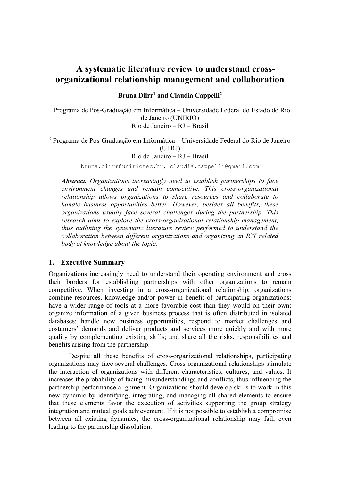## **A systematic literature review to understand crossorganizational relationship management and collaboration**

**Bruna Diirr<sup>1</sup> and Claudia Cappelli<sup>2</sup>**

<sup>1</sup>Programa de Pós-Graduação em Informática – Universidade Federal do Estado do Rio de Janeiro (UNIRIO) Rio de Janeiro – RJ – Brasil

<sup>2</sup>Programa de Pós-Graduação em Informática – Universidade Federal do Rio de Janeiro (UFRJ)

## Rio de Janeiro – RJ – Brasil

bruna.diirr@uniriotec.br, claudia.cappelli@gmail.com

*Abstract. Organizations increasingly need to establish partnerships to face environment changes and remain competitive. This cross-organizational relationship allows organizations to share resources and collaborate to handle business opportunities better. However, besides all benefits, these organizations usually face several challenges during the partnership. This research aims to explore the cross-organizational relationship management, thus outlining the systematic literature review performed to understand the collaboration between different organizations and organizing an ICT related body of knowledge about the topic.*

## **1. Executive Summary**

Organizations increasingly need to understand their operating environment and cross their borders for establishing partnerships with other organizations to remain competitive. When investing in a cross-organizational relationship, organizations combine resources, knowledge and/or power in benefit of participating organizations; have a wider range of tools at a more favorable cost than they would on their own; organize information of a given business process that is often distributed in isolated databases; handle new business opportunities, respond to market challenges and costumers' demands and deliver products and services more quickly and with more quality by complementing existing skills; and share all the risks, responsibilities and benefits arising from the partnership.

Despite all these benefits of cross-organizational relationships, participating organizations may face several challenges. Cross-organizational relationships stimulate the interaction of organizations with different characteristics, cultures, and values. It increases the probability of facing misunderstandings and conflicts, thus influencing the partnership performance alignment. Organizations should develop skills to work in this new dynamic by identifying, integrating, and managing all shared elements to ensure that these elements favor the execution of activities supporting the group strategy integration and mutual goals achievement. If it is not possible to establish a compromise between all existing dynamics, the cross-organizational relationship may fail, even leading to the partnership dissolution.